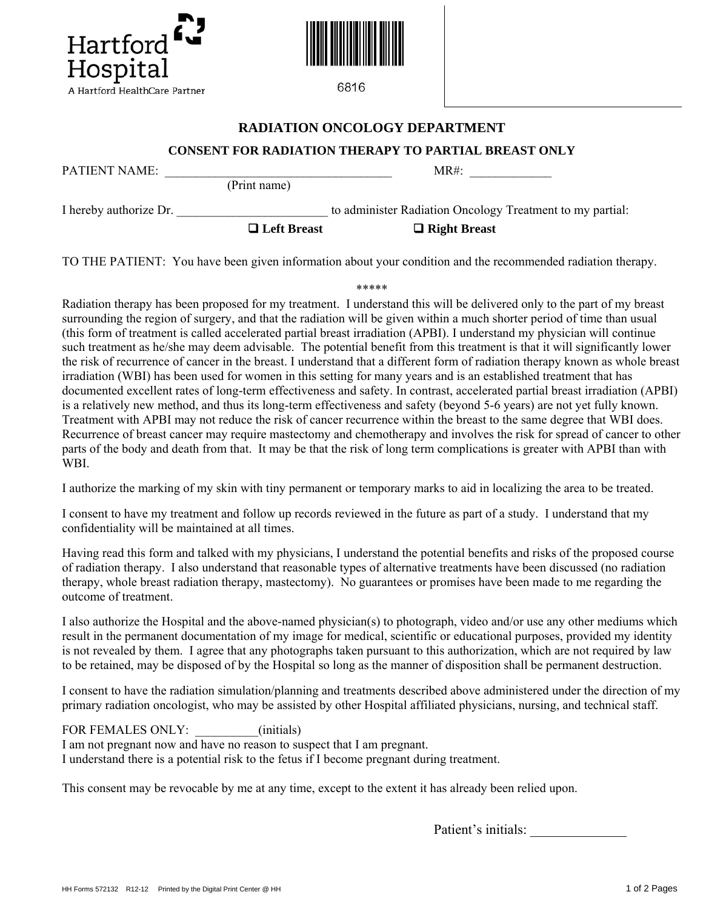



6816

## **RADIATION ONCOLOGY DEPARTMENT**

## **CONSENT FOR RADIATION THERAPY TO PARTIAL BREAST ONLY**

PATIENT NAME: \_\_\_\_\_\_\_\_\_\_\_\_\_\_\_\_\_\_\_\_\_\_\_\_\_\_\_\_\_\_\_\_\_\_\_\_ MR#: \_\_\_\_\_\_\_\_\_\_\_\_\_

(Print name)

I hereby authorize Dr.  $\blacksquare$  to administer Radiation Oncology Treatment to my partial:

□ Left Breast □ Right Breast

TO THE PATIENT: You have been given information about your condition and the recommended radiation therapy.

\*\*\*\*\*

Radiation therapy has been proposed for my treatment. I understand this will be delivered only to the part of my breast surrounding the region of surgery, and that the radiation will be given within a much shorter period of time than usual (this form of treatment is called accelerated partial breast irradiation (APBI). I understand my physician will continue such treatment as he/she may deem advisable. The potential benefit from this treatment is that it will significantly lower the risk of recurrence of cancer in the breast. I understand that a different form of radiation therapy known as whole breast irradiation (WBI) has been used for women in this setting for many years and is an established treatment that has documented excellent rates of long-term effectiveness and safety. In contrast, accelerated partial breast irradiation (APBI) is a relatively new method, and thus its long-term effectiveness and safety (beyond 5-6 years) are not yet fully known. Treatment with APBI may not reduce the risk of cancer recurrence within the breast to the same degree that WBI does. Recurrence of breast cancer may require mastectomy and chemotherapy and involves the risk for spread of cancer to other parts of the body and death from that. It may be that the risk of long term complications is greater with APBI than with WBI.

I authorize the marking of my skin with tiny permanent or temporary marks to aid in localizing the area to be treated.

I consent to have my treatment and follow up records reviewed in the future as part of a study. I understand that my confidentiality will be maintained at all times.

Having read this form and talked with my physicians, I understand the potential benefits and risks of the proposed course of radiation therapy. I also understand that reasonable types of alternative treatments have been discussed (no radiation therapy, whole breast radiation therapy, mastectomy). No guarantees or promises have been made to me regarding the outcome of treatment.

I also authorize the Hospital and the above-named physician(s) to photograph, video and/or use any other mediums which result in the permanent documentation of my image for medical, scientific or educational purposes, provided my identity is not revealed by them. I agree that any photographs taken pursuant to this authorization, which are not required by law to be retained, may be disposed of by the Hospital so long as the manner of disposition shall be permanent destruction.

I consent to have the radiation simulation/planning and treatments described above administered under the direction of my primary radiation oncologist, who may be assisted by other Hospital affiliated physicians, nursing, and technical staff.

FOR FEMALES ONLY:  $\qquad \qquad (initials)$ 

I am not pregnant now and have no reason to suspect that I am pregnant. I understand there is a potential risk to the fetus if I become pregnant during treatment.

This consent may be revocable by me at any time, except to the extent it has already been relied upon.

Patient's initials: